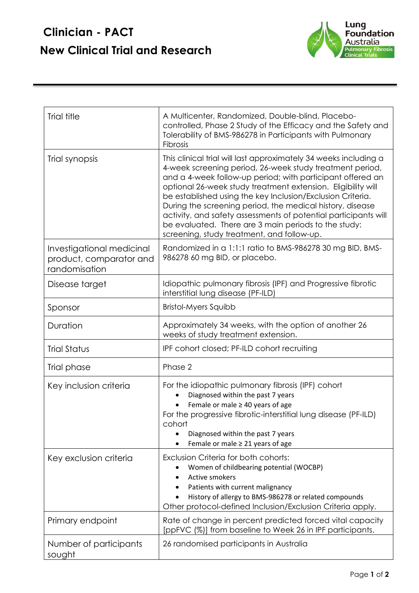## **Clinician - PACT New Clinical Trial and Research**



| Trial title                                                           | A Multicenter, Randomized, Double-blind, Placebo-<br>controlled, Phase 2 Study of the Efficacy and the Safety and<br>Tolerability of BMS-986278 in Participants with Pulmonary<br>Fibrosis                                                                                                                                                                                                                                                                                                                                                                     |
|-----------------------------------------------------------------------|----------------------------------------------------------------------------------------------------------------------------------------------------------------------------------------------------------------------------------------------------------------------------------------------------------------------------------------------------------------------------------------------------------------------------------------------------------------------------------------------------------------------------------------------------------------|
| Trial synopsis                                                        | This clinical trial will last approximately 34 weeks including a<br>4-week screening period, 26-week study treatment period,<br>and a 4-week follow-up period; with participant offered an<br>optional 26-week study treatment extension. Eligibility will<br>be established using the key Inclusion/Exclusion Criteria.<br>During the screening period, the medical history, disease<br>activity, and safety assessments of potential participants will<br>be evaluated. There are 3 main periods to the study:<br>screening, study treatment, and follow-up. |
| Investigational medicinal<br>product, comparator and<br>randomisation | Randomized in a 1:1:1 ratio to BMS-986278 30 mg BID, BMS-<br>986278 60 mg BID, or placebo.                                                                                                                                                                                                                                                                                                                                                                                                                                                                     |
| Disease target                                                        | Idiopathic pulmonary fibrosis (IPF) and Progressive fibrotic<br>interstitial lung disease (PF-ILD)                                                                                                                                                                                                                                                                                                                                                                                                                                                             |
| Sponsor                                                               | <b>Bristol-Myers Squibb</b>                                                                                                                                                                                                                                                                                                                                                                                                                                                                                                                                    |
| Duration                                                              | Approximately 34 weeks, with the option of another 26<br>weeks of study treatment extension.                                                                                                                                                                                                                                                                                                                                                                                                                                                                   |
| <b>Trial Status</b>                                                   | IPF cohort closed; PF-ILD cohort recruiting                                                                                                                                                                                                                                                                                                                                                                                                                                                                                                                    |
| Trial phase                                                           | Phase 2                                                                                                                                                                                                                                                                                                                                                                                                                                                                                                                                                        |
| Key inclusion criteria                                                | For the idiopathic pulmonary fibrosis (IPF) cohort<br>Diagnosed within the past 7 years<br>Female or male $\geq$ 40 years of age<br>For the progressive fibrotic-interstitial lung disease (PF-ILD)<br>cohort<br>Diagnosed within the past 7 years<br>Female or male $\geq$ 21 years of age                                                                                                                                                                                                                                                                    |
| Key exclusion criteria                                                | Exclusion Criteria for both cohorts:<br>Women of childbearing potential (WOCBP)<br><b>Active smokers</b><br>Patients with current malignancy<br>History of allergy to BMS-986278 or related compounds<br>Other protocol-defined Inclusion/Exclusion Criteria apply.                                                                                                                                                                                                                                                                                            |
| Primary endpoint                                                      | Rate of change in percent predicted forced vital capacity<br>[ppFVC (%)] from baseline to Week 26 in IPF participants.                                                                                                                                                                                                                                                                                                                                                                                                                                         |
| Number of participants<br>sought                                      | 26 randomised participants in Australia                                                                                                                                                                                                                                                                                                                                                                                                                                                                                                                        |